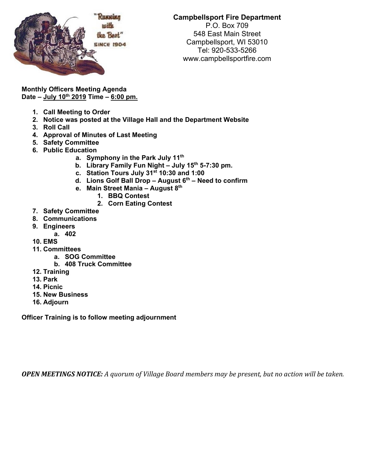

## **Campbellsport Fire Department**

P.O. Box 709 548 East Main Street Campbellsport, WI 53010 Tel: 920-533-5266 www.campbellsportfire.com

**Monthly Officers Meeting Agenda Date – July 10th 2019 Time – 6:00 pm.** 

- **1. Call Meeting to Order**
- **2. Notice was posted at the Village Hall and the Department Website**
- **3. Roll Call**
- **4. Approval of Minutes of Last Meeting**
- **5. Safety Committee**
- **6. Public Education** 
	- **a. Symphony in the Park July 11th**
	- **b. Library Family Fun Night July 15th 5-7:30 pm.**
	- **c. Station Tours July 31st 10:30 and 1:00**
	- **d. Lions Golf Ball Drop August 6th Need to confirm**
	- **e. Main Street Mania August 8th** 
		- **1. BBQ Contest** 
			- **2. Corn Eating Contest**
- **7. Safety Committee**
- **8. Communications**
- **9. Engineers** 
	- **a. 402**
- **10. EMS**
- **11. Committees** 
	- **a. SOG Committee** 
		- **b. 408 Truck Committee**
- **12. Training**
- **13. Park**
- **14. Picnic**
- **15. New Business**
- **16. Adjourn**

**Officer Training is to follow meeting adjournment** 

**OPEN MEETINGS NOTICE:** A quorum of Village Board members may be present, but no action will be taken.